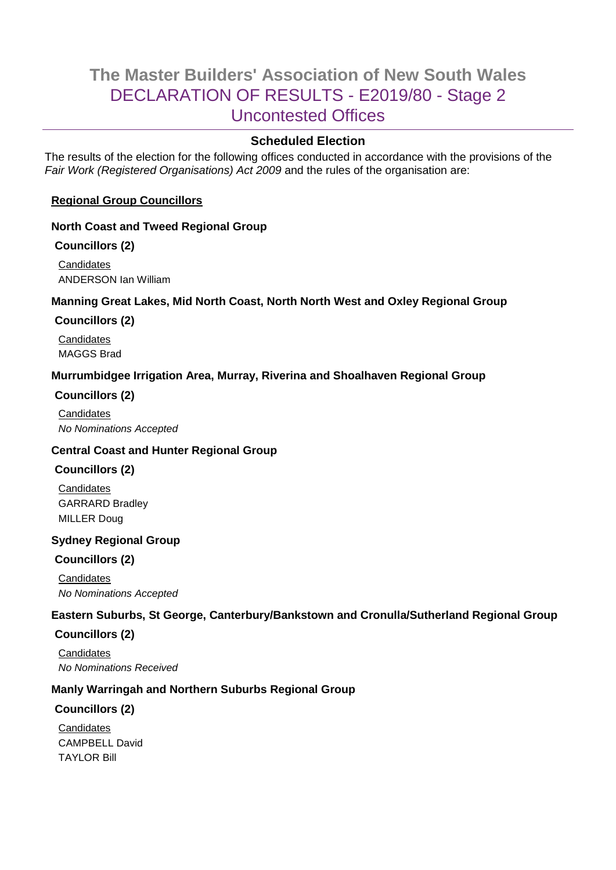# **The Master Builders' Association of New South Wales** DECLARATION OF RESULTS - E2019/80 - Stage 2 Uncontested Offices

# **Scheduled Election**

The results of the election for the following offices conducted in accordance with the provisions of the *Fair Work (Registered Organisations) Act 2009* and the rules of the organisation are:

## **Regional Group Councillors**

## **North Coast and Tweed Regional Group**

## **Councillors (2)**

**Candidates** ANDERSON Ian William

## **Manning Great Lakes, Mid North Coast, North North West and Oxley Regional Group**

## **Councillors (2)**

**Candidates** MAGGS Brad

## **Murrumbidgee Irrigation Area, Murray, Riverina and Shoalhaven Regional Group**

## **Councillors (2)**

**Candidates** *No Nominations Accepted*

## **Central Coast and Hunter Regional Group**

## **Councillors (2)**

**Candidates** GARRARD Bradley MILLER Doug

## **Sydney Regional Group**

# **Councillors (2)**

**Candidates** *No Nominations Accepted*

# **Eastern Suburbs, St George, Canterbury/Bankstown and Cronulla/Sutherland Regional Group**

## **Councillors (2)**

**Candidates** *No Nominations Received*

# **Manly Warringah and Northern Suburbs Regional Group**

## **Councillors (2)**

**Candidates** CAMPBELL David **TAYI OR Bill**